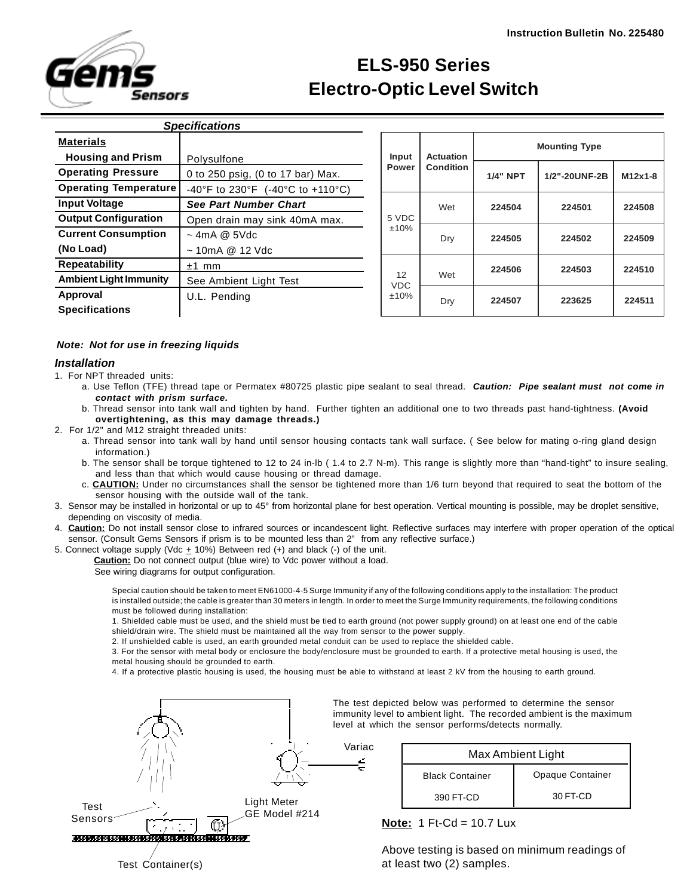

# **ELS-950 Series Electro-Optic Level Switch**

| <b>Specifications</b>         |                                   |  |  |  |
|-------------------------------|-----------------------------------|--|--|--|
| <b>Materials</b>              |                                   |  |  |  |
| <b>Housing and Prism</b>      | Polysulfone                       |  |  |  |
| <b>Operating Pressure</b>     | 0 to 250 psig, (0 to 17 bar) Max. |  |  |  |
| <b>Operating Temperature</b>  | -40°F to 230°F (-40°C to +110°C)  |  |  |  |
| <b>Input Voltage</b>          | <b>See Part Number Chart</b>      |  |  |  |
| <b>Output Configuration</b>   | Open drain may sink 40mA max.     |  |  |  |
| <b>Current Consumption</b>    | $\sim$ 4mA @ 5Vdc                 |  |  |  |
| (No Load)                     | $\sim$ 10mA @ 12 Vdc              |  |  |  |
| Repeatability                 | mm<br>$+1$                        |  |  |  |
| <b>Ambient Light Immunity</b> | See Ambient Light Test            |  |  |  |
| Approval                      | U.L. Pending                      |  |  |  |
| <b>Specifications</b>         |                                   |  |  |  |

| Input                    | <b>Actuation</b> | <b>Mounting Type</b> |               |           |
|--------------------------|------------------|----------------------|---------------|-----------|
| Power                    | <b>Condition</b> | <b>1/4" NPT</b>      | 1/2"-20UNF-2B | $M12x1-8$ |
| 5 VDC<br>±10%            | Wet              | 224504               | 224501        | 224508    |
|                          | Dry              | 224505               | 224502        | 224509    |
| 12<br><b>VDC</b><br>±10% | Wet              | 224506               | 224503        | 224510    |
|                          | Dry              | 224507               | 223625        | 224511    |

## *Note: Not for use in freezing liquids*

### *Installation*

1. For NPT threaded units:

- a. Use Teflon (TFE) thread tape or Permatex #80725 plastic pipe sealant to seal thread. *Caution: Pipe sealant must not come in contact with prism surface.*
- b. Thread sensor into tank wall and tighten by hand. Further tighten an additional one to two threads past hand-tightness. **(Avoid overtightening, as this may damage threads.)**
- 2. For 1/2" and M12 straight threaded units:
	- a. Thread sensor into tank wall by hand until sensor housing contacts tank wall surface. ( See below for mating o-ring gland design information.)
	- b. The sensor shall be torque tightened to 12 to 24 in-lb ( 1.4 to 2.7 N-m). This range is slightly more than "hand-tight" to insure sealing, and less than that which would cause housing or thread damage.
	- c. **CAUTION:** Under no circumstances shall the sensor be tightened more than 1/6 turn beyond that required to seat the bottom of the sensor housing with the outside wall of the tank.
- 3. Sensor may be installed in horizontal or up to 45° from horizontal plane for best operation. Vertical mounting is possible, may be droplet sensitive, depending on viscosity of media.
- 4. **Caution:** Do not install sensor close to infrared sources or incandescent light. Reflective surfaces may interfere with proper operation of the optical sensor. (Consult Gems Sensors if prism is to be mounted less than 2" from any reflective surface.)
- 5. Connect voltage supply (Vdc + 10%) Between red (+) and black (-) of the unit.

**Caution:** Do not connect output (blue wire) to Vdc power without a load.

See wiring diagrams for output configuration.

Special caution should be taken to meet EN61000-4-5 Surge Immunity if any of the following conditions apply to the installation: The product is installed outside; the cable is greater than 30 meters in length. In order to meet the Surge Immunity requirements, the following conditions must be followed during installation:

1. Shielded cable must be used, and the shield must be tied to earth ground (not power supply ground) on at least one end of the cable shield/drain wire. The shield must be maintained all the way from sensor to the power supply.

2. If unshielded cable is used, an earth grounded metal conduit can be used to replace the shielded cable.

3. For the sensor with metal body or enclosure the body/enclosure must be grounded to earth. If a protective metal housing is used, the metal housing should be grounded to earth.

4. If a protective plastic housing is used, the housing must be able to withstand at least 2 kV from the housing to earth ground.



The test depicted below was performed to determine the sensor immunity level to ambient light. The recorded ambient is the maximum level at which the sensor performs/detects normally.

| Max Ambient Light      |                  |  |  |
|------------------------|------------------|--|--|
| <b>Black Container</b> | Opaque Container |  |  |
| 390 FT-CD              | 30 FT-CD         |  |  |

**Note:** 1 Ft-Cd = 10.7 Lux

Above testing is based on minimum readings of at least two (2) samples.